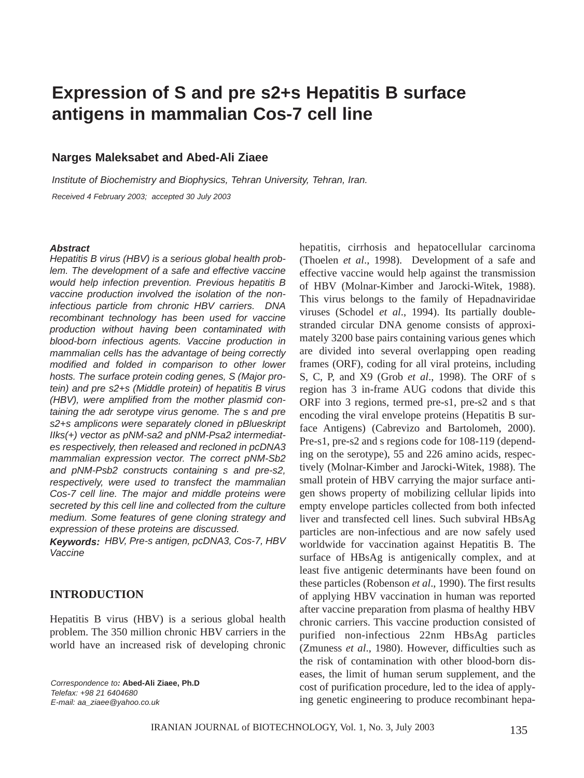# **Expression of S and pre s2+s Hepatitis B surface antigens in mammalian Cos-7 cell line**

### **Narges Maleksabet and Abed-Ali Ziaee**

*Institute of Biochemistry and Biophysics, Tehran University, Tehran, Iran. Received 4 February 2003; accepted 30 July 2003*

#### *Abstract*

*Hepatitis B virus (HBV) is a serious global health problem. The development of a safe and effective vaccine would help infection prevention. Previous hepatitis B vaccine production involved the isolation of the noninfectious particle from chronic HBV carriers. DNA recombinant technology has been used for vaccine production without having been contaminated with blood-born infectious agents. Vaccine production in mammalian cells has the advantage of being correctly modified and folded in comparison to other lower hosts. The surface protein coding genes, S (Major protein) and pre s2+s (Middle protein) of hepatitis B virus (HBV), were amplified from the mother plasmid containing the adr serotype virus genome. The s and pre s2+s amplicons were separately cloned in pBlueskript IIks(+) vector as pNM-sa2 and pNM-Psa2 intermediates respectively, then released and recloned in pcDNA3 mammalian expression vector. The correct pNM-Sb2 and pNM-Psb2 constructs containing s and pre-s2, respectively, were used to transfect the mammalian Cos-7 cell line. The major and middle proteins were secreted by this cell line and collected from the culture medium. Some features of gene cloning strategy and expression of these proteins are discussed.*

*Keywords: HBV, Pre-s antigen, pcDNA3, Cos-7, HBV Vaccine*

#### **INTRODUCTION**

Hepatitis B virus (HBV) is a serious global health problem. The 350 million chronic HBV carriers in the world have an increased risk of developing chronic

*Correspondence to:* **Abed-Ali Ziaee, Ph.D** *Telefax: +98 21 6404680 E-mail: aa\_ziaee@yahoo.co.uk*

hepatitis, cirrhosis and hepatocellular carcinoma (Thoelen *et al*., 1998). Development of a safe and effective vaccine would help against the transmission of HBV (Molnar-Kimber and Jarocki-Witek, 1988). This virus belongs to the family of Hepadnaviridae viruses (Schodel *et al*., 1994). Its partially doublestranded circular DNA genome consists of approximately 3200 base pairs containing various genes which are divided into several overlapping open reading frames (ORF), coding for all viral proteins, including S, C, P, and X9 (Grob *et al*., 1998). The ORF of s region has 3 in-frame AUG codons that divide this ORF into 3 regions, termed pre-s1, pre-s2 and s that encoding the viral envelope proteins (Hepatitis B surface Antigens) (Cabrevizo and Bartolomeh, 2000). Pre-s1, pre-s2 and s regions code for 108-119 (depending on the serotype), 55 and 226 amino acids, respectively (Molnar-Kimber and Jarocki-Witek, 1988). The small protein of HBV carrying the major surface antigen shows property of mobilizing cellular lipids into empty envelope particles collected from both infected liver and transfected cell lines. Such subviral HBsAg particles are non-infectious and are now safely used worldwide for vaccination against Hepatitis B. The surface of HBsAg is antigenically complex, and at least five antigenic determinants have been found on these particles (Robenson *et al*., 1990). The first results of applying HBV vaccination in human was reported after vaccine preparation from plasma of healthy HBV chronic carriers. This vaccine production consisted of purified non-infectious 22nm HBsAg particles (Zmuness *et al*., 1980). However, difficulties such as the risk of contamination with other blood-born diseases, the limit of human serum supplement, and the cost of purification procedure, led to the idea of applying genetic engineering to produce recombinant hepa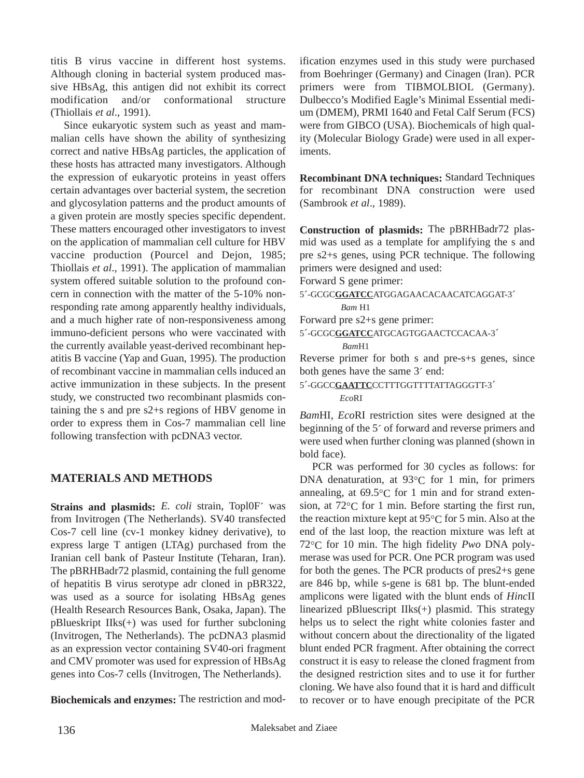titis B virus vaccine in different host systems. Although cloning in bacterial system produced massive HBsAg, this antigen did not exhibit its correct modification and/or conformational structure (Thiollais *et al*., 1991).

Since eukaryotic system such as yeast and mammalian cells have shown the ability of synthesizing correct and native HBsAg particles, the application of these hosts has attracted many investigators. Although the expression of eukaryotic proteins in yeast offers certain advantages over bacterial system, the secretion and glycosylation patterns and the product amounts of a given protein are mostly species specific dependent. These matters encouraged other investigators to invest on the application of mammalian cell culture for HBV vaccine production (Pourcel and Dejon, 1985; Thiollais *et al*., 1991). The application of mammalian system offered suitable solution to the profound concern in connection with the matter of the 5-10% nonresponding rate among apparently healthy individuals, and a much higher rate of non-responsiveness among immuno-deficient persons who were vaccinated with the currently available yeast-derived recombinant hepatitis B vaccine (Yap and Guan, 1995). The production of recombinant vaccine in mammalian cells induced an active immunization in these subjects. In the present study, we constructed two recombinant plasmids containing the s and pre s2+s regions of HBV genome in order to express them in Cos-7 mammalian cell line following transfection with pcDNA3 vector.

## **MATERIALS AND METHODS**

**Strains and plasmids:** *E. coli* strain, Topl0F´ was from Invitrogen (The Netherlands). SV40 transfected Cos-7 cell line (cv-1 monkey kidney derivative), to express large T antigen (LTAg) purchased from the Iranian cell bank of Pasteur Institute (Teharan, Iran). The pBRHBadr72 plasmid, containing the full genome of hepatitis B virus serotype adr cloned in pBR322, was used as a source for isolating HBsAg genes (Health Research Resources Bank, Osaka, Japan). The pBlueskript IIks(+) was used for further subcloning (Invitrogen, The Netherlands). The pcDNA3 plasmid as an expression vector containing SV40-ori fragment and CMV promoter was used for expression of HBsAg genes into Cos-7 cells (Invitrogen, The Netherlands).

**Biochemicals and enzymes:** The restriction and mod-

ification enzymes used in this study were purchased from Boehringer (Germany) and Cinagen (Iran). PCR primers were from TIBMOLBIOL (Germany). Dulbecco's Modified Eagle's Minimal Essential medium (DMEM), PRMI 1640 and Fetal Calf Serum (FCS) were from GIBCO (USA). Biochemicals of high quality (Molecular Biology Grade) were used in all experiments.

**Recombinant DNA techniques:** Standard Techniques for recombinant DNA construction were used (Sambrook *et al*., 1989).

**Construction of plasmids:** The pBRHBadr72 plasmid was used as a template for amplifying the s and pre s2+s genes, using PCR technique. The following primers were designed and used:

Forward S gene primer:

5´-GCGC**GGATCC**ATGGAGAACACAACATCAGGAT-3´

*Bam* H1

Forward pre s2+s gene primer:

5´-GCGC**GGATCC**ATGCAGTGGAACTCCACAA-3´ *Bam*H1

Reverse primer for both s and pre-s+s genes, since both genes have the same 3´ end:

5´-GGCC**GAATTC**CCTTTGGTTTTATTAGGGTT-3´

#### *Eco*RI

*Bam*HI, *Eco*RI restriction sites were designed at the beginning of the 5´ of forward and reverse primers and were used when further cloning was planned (shown in bold face).

PCR was performed for 30 cycles as follows: for DNA denaturation, at 93°C for 1 min, for primers annealing, at  $69.5^{\circ}$ C for 1 min and for strand extension, at 72°C for 1 min. Before starting the first run, the reaction mixture kept at 95°C for 5 min. Also at the end of the last loop, the reaction mixture was left at 72°C for 10 min. The high fidelity *Pwo* DNA polymerase was used for PCR. One PCR program was used for both the genes. The PCR products of pres2+s gene are 846 bp, while s-gene is 681 bp. The blunt-ended amplicons were ligated with the blunt ends of *Hinc*II linearized pBluescript IIks(+) plasmid. This strategy helps us to select the right white colonies faster and without concern about the directionality of the ligated blunt ended PCR fragment. After obtaining the correct construct it is easy to release the cloned fragment from the designed restriction sites and to use it for further cloning. We have also found that it is hard and difficult to recover or to have enough precipitate of the PCR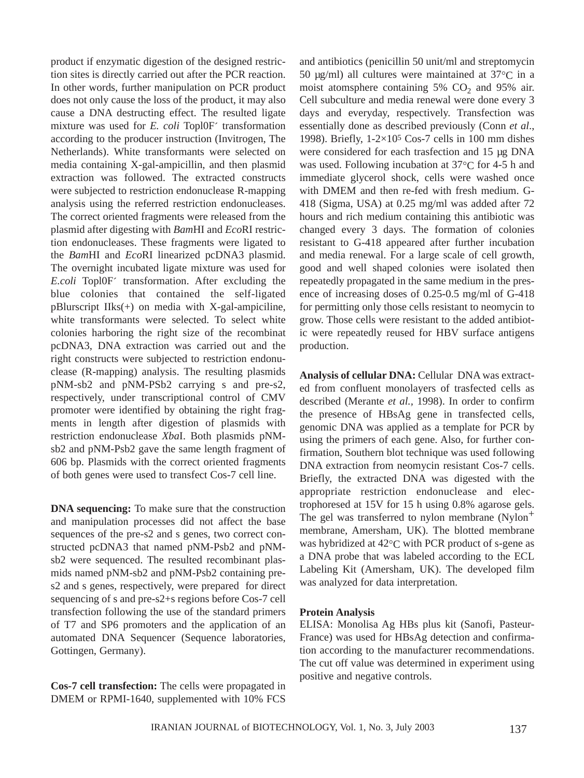product if enzymatic digestion of the designed restriction sites is directly carried out after the PCR reaction. In other words, further manipulation on PCR product does not only cause the loss of the product, it may also cause a DNA destructing effect. The resulted ligate mixture was used for *E. coli* Topl0F´ transformation according to the producer instruction (Invitrogen, The Netherlands). White transformants were selected on media containing X-gal-ampicillin, and then plasmid extraction was followed. The extracted constructs were subjected to restriction endonuclease R-mapping analysis using the referred restriction endonucleases. The correct oriented fragments were released from the plasmid after digesting with *Bam*HI and *Eco*RI restriction endonucleases. These fragments were ligated to the *Bam*HI and *Eco*RI linearized pcDNA3 plasmid. The overnight incubated ligate mixture was used for *E.coli* Topl0F´ transformation. After excluding the blue colonies that contained the self-ligated pBlurscript IIks(+) on media with X-gal-ampiciline, white transformants were selected. To select white colonies harboring the right size of the recombinat pcDNA3, DNA extraction was carried out and the right constructs were subjected to restriction endonuclease (R-mapping) analysis. The resulting plasmids pNM-sb2 and pNM-PSb2 carrying s and pre-s2, respectively, under transcriptional control of CMV promoter were identified by obtaining the right fragments in length after digestion of plasmids with restriction endonuclease *Xba*I. Both plasmids pNMsb2 and pNM-Psb2 gave the same length fragment of 606 bp. Plasmids with the correct oriented fragments of both genes were used to transfect Cos-7 cell line.

**DNA sequencing:** To make sure that the construction and manipulation processes did not affect the base sequences of the pre-s2 and s genes, two correct constructed pcDNA3 that named pNM-Psb2 and pNMsb2 were sequenced. The resulted recombinant plasmids named pNM-sb2 and pNM-Psb2 containing pres2 and s genes, respectively, were prepared for direct sequencing of s and pre-s2+s regions before Cos-7 cell transfection following the use of the standard primers of T7 and SP6 promoters and the application of an automated DNA Sequencer (Sequence laboratories, Gottingen, Germany).

**Cos-7 cell transfection:** The cells were propagated in DMEM or RPMI-1640, supplemented with 10% FCS and antibiotics (penicillin 50 unit/ml and streptomycin 50  $\mu$ g/ml) all cultures were maintained at 37 $\degree$ C in a moist atomsphere containing 5%  $CO<sub>2</sub>$  and 95% air. Cell subculture and media renewal were done every 3 days and everyday, respectively. Transfection was essentially done as described previously (Conn *et al*., 1998). Briefly,  $1-2\times10^5$  Cos-7 cells in 100 mm dishes were considered for each trasfection and 15 µg DNA was used. Following incubation at 37 $\degree$ C for 4-5 h and immediate glycerol shock, cells were washed once with DMEM and then re-fed with fresh medium. G-418 (Sigma, USA) at 0.25 mg/ml was added after 72 hours and rich medium containing this antibiotic was changed every 3 days. The formation of colonies resistant to G-418 appeared after further incubation and media renewal. For a large scale of cell growth, good and well shaped colonies were isolated then repeatedly propagated in the same medium in the presence of increasing doses of 0.25-0.5 mg/ml of G-418 for permitting only those cells resistant to neomycin to grow. Those cells were resistant to the added antibiotic were repeatedly reused for HBV surface antigens production.

**Analysis of cellular DNA:** Cellular DNA was extracted from confluent monolayers of trasfected cells as described (Merante *et al.,* 1998). In order to confirm the presence of HBsAg gene in transfected cells, genomic DNA was applied as a template for PCR by using the primers of each gene. Also, for further confirmation, Southern blot technique was used following DNA extraction from neomycin resistant Cos-7 cells. Briefly, the extracted DNA was digested with the appropriate restriction endonuclease and electrophoresed at 15V for 15 h using 0.8% agarose gels. The gel was transferred to nylon membrane  $(Nylon^+$ membrane, Amersham, UK). The blotted membrane was hybridized at 42°C with PCR product of s-gene as a DNA probe that was labeled according to the ECL Labeling Kit (Amersham, UK). The developed film was analyzed for data interpretation.

#### **Protein Analysis**

ELISA: Monolisa Ag HBs plus kit (Sanofi, Pasteur-France) was used for HBsAg detection and confirmation according to the manufacturer recommendations. The cut off value was determined in experiment using positive and negative controls.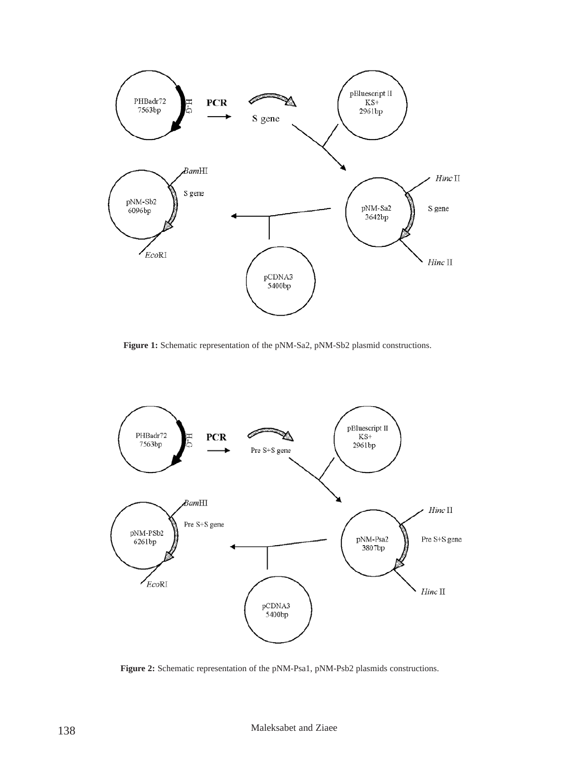

**Figure 1:** Schematic representation of the pNM-Sa2, pNM-Sb2 plasmid constructions.



**Figure 2:** Schematic representation of the pNM-Psa1, pNM-Psb2 plasmids constructions.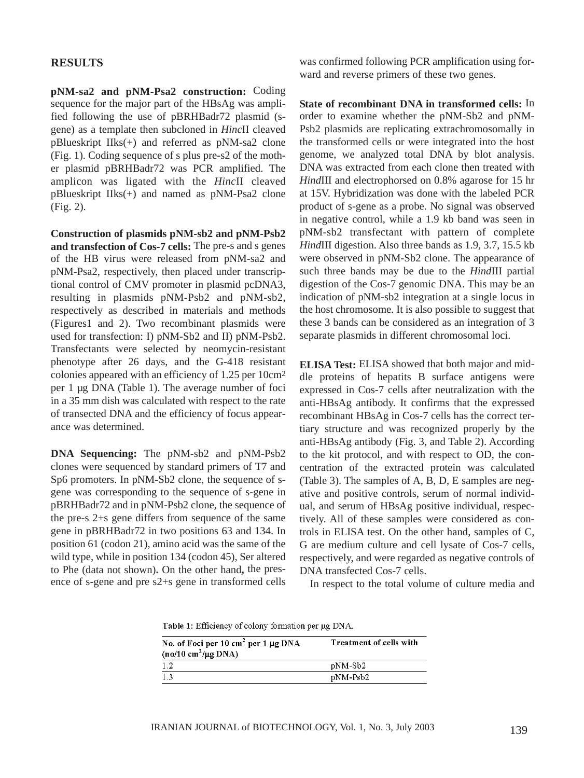### **RESULTS**

**pNM-sa2 and pNM-Psa2 construction:** Coding sequence for the major part of the HBsAg was amplified following the use of pBRHBadr72 plasmid (sgene) as a template then subcloned in *Hinc*II cleaved pBlueskript IIks(+) and referred as pNM-sa2 clone (Fig. 1). Coding sequence of s plus pre-s2 of the mother plasmid pBRHBadr72 was PCR amplified. The amplicon was ligated with the *Hinc*II cleaved pBlueskript IIks(+) and named as pNM-Psa2 clone (Fig. 2).

**Construction of plasmids pNM-sb2 and pNM-Psb2 and transfection of Cos-7 cells:** The pre-s and s genes of the HB virus were released from pNM-sa2 and pNM-Psa2, respectively, then placed under transcriptional control of CMV promoter in plasmid pcDNA3, resulting in plasmids pNM-Psb2 and pNM-sb2, respectively as described in materials and methods (Figures1 and 2). Two recombinant plasmids were used for transfection: I) pNM-Sb2 and II) pNM-Psb2. Transfectants were selected by neomycin-resistant phenotype after 26 days, and the G-418 resistant colonies appeared with an efficiency of 1.25 per 10cm2 per 1 µg DNA (Table 1). The average number of foci in a 35 mm dish was calculated with respect to the rate of transected DNA and the efficiency of focus appearance was determined.

**DNA Sequencing:** The pNM-sb2 and pNM-Psb2 clones were sequenced by standard primers of T7 and Sp6 promoters. In pNM-Sb2 clone, the sequence of sgene was corresponding to the sequence of s-gene in pBRHBadr72 and in pNM-Psb2 clone, the sequence of the pre-s 2+s gene differs from sequence of the same gene in pBRHBadr72 in two positions 63 and 134. In position 61 (codon 21), amino acid was the same of the wild type, while in position 134 (codon 45), Ser altered to Phe (data not shown)**.** On the other hand**,** the presence of s-gene and pre s2+s gene in transformed cells

was confirmed following PCR amplification using forward and reverse primers of these two genes.

**State of recombinant DNA in transformed cells:** In order to examine whether the pNM-Sb2 and pNM-Psb2 plasmids are replicating extrachromosomally in the transformed cells or were integrated into the host genome, we analyzed total DNA by blot analysis. DNA was extracted from each clone then treated with *Hind*III and electrophorsed on 0.8% agarose for 15 hr at 15V. Hybridization was done with the labeled PCR product of s-gene as a probe. No signal was observed in negative control, while a 1.9 kb band was seen in pNM-sb2 transfectant with pattern of complete *Hind*III digestion. Also three bands as 1.9, 3.7, 15.5 kb were observed in pNM-Sb2 clone. The appearance of such three bands may be due to the *Hind*III partial digestion of the Cos-7 genomic DNA. This may be an indication of pNM-sb2 integration at a single locus in the host chromosome. It is also possible to suggest that these 3 bands can be considered as an integration of 3 separate plasmids in different chromosomal loci.

**ELISA Test:** ELISA showed that both major and middle proteins of hepatits B surface antigens were expressed in Cos-7 cells after neutralization with the anti-HBsAg antibody. It confirms that the expressed recombinant HBsAg in Cos-7 cells has the correct tertiary structure and was recognized properly by the anti-HBsAg antibody (Fig. 3, and Table 2). According to the kit protocol, and with respect to OD, the concentration of the extracted protein was calculated (Table 3). The samples of A, B, D, E samples are negative and positive controls, serum of normal individual, and serum of HBsAg positive individual, respectively. All of these samples were considered as controls in ELISA test. On the other hand, samples of C, G are medium culture and cell lysate of Cos-7 cells, respectively, and were regarded as negative controls of DNA transfected Cos-7 cells.

In respect to the total volume of culture media and

Table 1: Efficiency of colony formation per ug DNA.

| No. of Foci per 10 cm <sup>2</sup> per 1 $\mu$ g DNA<br>$(no/10 \text{ cm}^2/\mu\text{g} \text{DNA})$ | Treatment of cells with |
|-------------------------------------------------------------------------------------------------------|-------------------------|
| 1.2                                                                                                   | pNM-Sb2                 |
| 1.3                                                                                                   | pNM-Psb2                |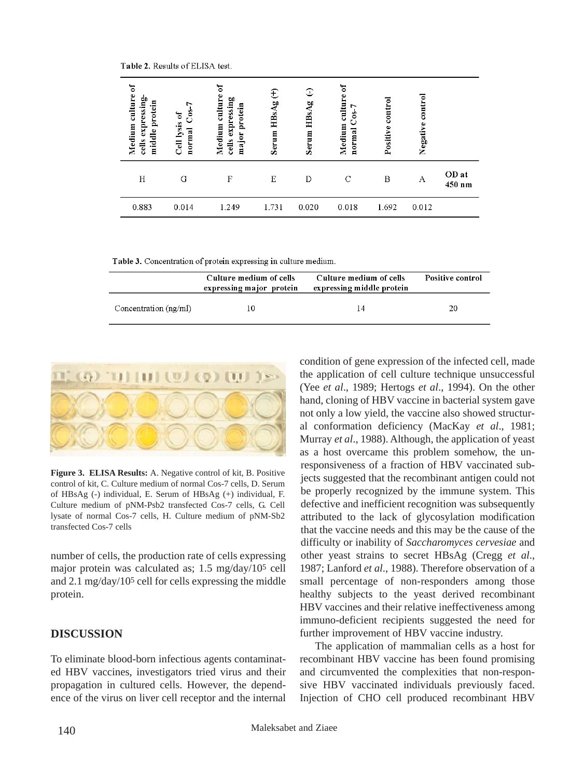Table 2. Results of ELISA test.

| ัธ<br>culture<br>expressing-<br>protein<br>Medium<br>middle<br>cells | r<br>ဒီ<br>đ<br>Cell lysis<br>normal | ัธ<br>culture<br>expressing<br>protein<br>Medium<br>major<br>$_{\rm cells}$ | E<br>HBsAg<br>Serum | $\mathbb{C}$<br>HBsAg<br>Serum | $\mathfrak{h}$<br>culture<br>$C0S-7$<br>Medium<br>normal | control<br>Positive | $\frac{1}{2}$<br>Negative |                 |
|----------------------------------------------------------------------|--------------------------------------|-----------------------------------------------------------------------------|---------------------|--------------------------------|----------------------------------------------------------|---------------------|---------------------------|-----------------|
| Η                                                                    | G                                    | F                                                                           | Ε                   | Ð                              | C                                                        | B                   | А                         | OD at<br>450 nm |
| 0.883                                                                | 0.014                                | 1.249                                                                       | 1.731               | 0.020                          | 0.018                                                    | 1.692               | 0.012                     |                 |

Table 3. Concentration of protein expressing in culture medium.

|                         | Culture medium of cells<br>expressing major protein | Culture medium of cells<br>expressing middle protein | Positive control |
|-------------------------|-----------------------------------------------------|------------------------------------------------------|------------------|
| Concentration $(ng/ml)$ | 10                                                  | 14                                                   | 20               |



**Figure 3. ELISA Results:** A. Negative control of kit, B. Positive control of kit, C. Culture medium of normal Cos-7 cells, D. Serum of HBsAg (-) individual, E. Serum of HBsAg (+) individual, F. Culture medium of pNM-Psb2 transfected Cos-7 cells, G. Cell lysate of normal Cos-7 cells, H. Culture medium of pNM-Sb2 transfected Cos-7 cells

number of cells, the production rate of cells expressing major protein was calculated as; 1.5 mg/day/105 cell and 2.1 mg/day/105 cell for cells expressing the middle protein.

## **DISCUSSION**

To eliminate blood-born infectious agents contaminated HBV vaccines, investigators tried virus and their propagation in cultured cells. However, the dependence of the virus on liver cell receptor and the internal

condition of gene expression of the infected cell, made the application of cell culture technique unsuccessful (Yee *et al*., 1989; Hertogs *et al*., 1994). On the other hand, cloning of HBV vaccine in bacterial system gave not only a low yield, the vaccine also showed structural conformation deficiency (MacKay *et al*., 1981; Murray *et al*., 1988). Although, the application of yeast as a host overcame this problem somehow, the unresponsiveness of a fraction of HBV vaccinated subjects suggested that the recombinant antigen could not be properly recognized by the immune system. This defective and inefficient recognition was subsequently attributed to the lack of glycosylation modification that the vaccine needs and this may be the cause of the difficulty or inability of *Saccharomyces cervesiae* and other yeast strains to secret HBsAg (Cregg *et al*., 1987; Lanford *et al*., 1988). Therefore observation of a small percentage of non-responders among those healthy subjects to the yeast derived recombinant HBV vaccines and their relative ineffectiveness among immuno-deficient recipients suggested the need for further improvement of HBV vaccine industry.

The application of mammalian cells as a host for recombinant HBV vaccine has been found promising and circumvented the complexities that non-responsive HBV vaccinated individuals previously faced. Injection of CHO cell produced recombinant HBV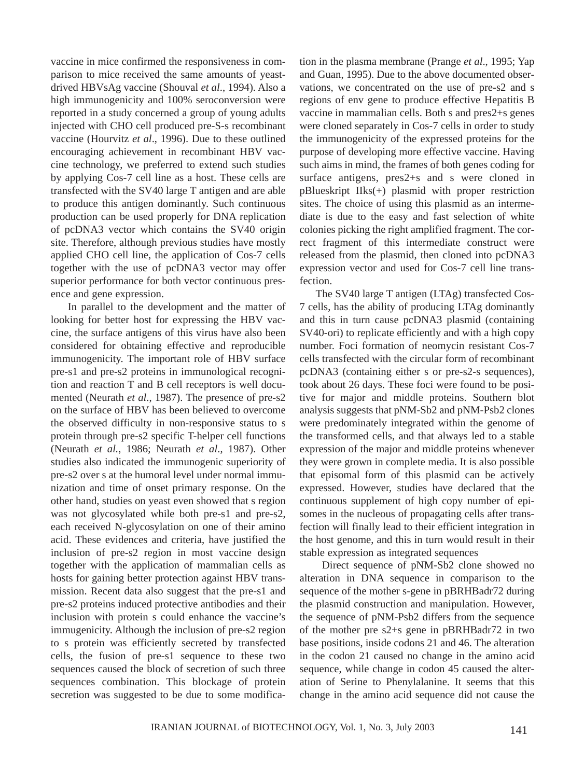vaccine in mice confirmed the responsiveness in comparison to mice received the same amounts of yeastdrived HBVsAg vaccine (Shouval *et al*., 1994). Also a high immunogenicity and 100% seroconversion were reported in a study concerned a group of young adults injected with CHO cell produced pre-S-s recombinant vaccine (Hourvitz *et al*., 1996). Due to these outlined encouraging achievement in recombinant HBV vaccine technology, we preferred to extend such studies by applying Cos-7 cell line as a host. These cells are transfected with the SV40 large T antigen and are able to produce this antigen dominantly. Such continuous production can be used properly for DNA replication of pcDNA3 vector which contains the SV40 origin site. Therefore, although previous studies have mostly applied CHO cell line, the application of Cos-7 cells together with the use of pcDNA3 vector may offer superior performance for both vector continuous presence and gene expression.

In parallel to the development and the matter of looking for better host for expressing the HBV vaccine, the surface antigens of this virus have also been considered for obtaining effective and reproducible immunogenicity. The important role of HBV surface pre-s1 and pre-s2 proteins in immunological recognition and reaction T and B cell receptors is well documented (Neurath *et al*., 1987). The presence of pre-s2 on the surface of HBV has been believed to overcome the observed difficulty in non-responsive status to s protein through pre-s2 specific T-helper cell functions (Neurath *et al.*, 1986; Neurath *et al*., 1987). Other studies also indicated the immunogenic superiority of pre-s2 over s at the humoral level under normal immunization and time of onset primary response. On the other hand, studies on yeast even showed that s region was not glycosylated while both pre-s1 and pre-s2, each received N-glycosylation on one of their amino acid. These evidences and criteria, have justified the inclusion of pre-s2 region in most vaccine design together with the application of mammalian cells as hosts for gaining better protection against HBV transmission. Recent data also suggest that the pre-s1 and pre-s2 proteins induced protective antibodies and their inclusion with protein s could enhance the vaccine's immugenicity. Although the inclusion of pre-s2 region to s protein was efficiently secreted by transfected cells, the fusion of pre-s1 sequence to these two sequences caused the block of secretion of such three sequences combination. This blockage of protein secretion was suggested to be due to some modification in the plasma membrane (Prange *et al*., 1995; Yap and Guan, 1995). Due to the above documented observations, we concentrated on the use of pre-s2 and s regions of env gene to produce effective Hepatitis B vaccine in mammalian cells. Both s and pres2+s genes were cloned separately in Cos-7 cells in order to study the immunogenicity of the expressed proteins for the purpose of developing more effective vaccine. Having such aims in mind, the frames of both genes coding for surface antigens, pres2+s and s were cloned in pBlueskript IIks(+) plasmid with proper restriction sites. The choice of using this plasmid as an intermediate is due to the easy and fast selection of white colonies picking the right amplified fragment. The correct fragment of this intermediate construct were released from the plasmid, then cloned into pcDNA3 expression vector and used for Cos-7 cell line transfection.

The SV40 large T antigen (LTAg) transfected Cos-7 cells, has the ability of producing LTAg dominantly and this in turn cause pcDNA3 plasmid (containing SV40-ori) to replicate efficiently and with a high copy number. Foci formation of neomycin resistant Cos-7 cells transfected with the circular form of recombinant pcDNA3 (containing either s or pre-s2-s sequences), took about 26 days. These foci were found to be positive for major and middle proteins. Southern blot analysis suggests that pNM-Sb2 and pNM-Psb2 clones were predominately integrated within the genome of the transformed cells, and that always led to a stable expression of the major and middle proteins whenever they were grown in complete media. It is also possible that episomal form of this plasmid can be actively expressed. However, studies have declared that the continuous supplement of high copy number of episomes in the nucleous of propagating cells after transfection will finally lead to their efficient integration in the host genome, and this in turn would result in their stable expression as integrated sequences

Direct sequence of pNM-Sb2 clone showed no alteration in DNA sequence in comparison to the sequence of the mother s-gene in pBRHBadr72 during the plasmid construction and manipulation. However, the sequence of pNM-Psb2 differs from the sequence of the mother pre s2+s gene in pBRHBadr72 in two base positions, inside codons 21 and 46. The alteration in the codon 21 caused no change in the amino acid sequence, while change in codon 45 caused the alteration of Serine to Phenylalanine. It seems that this change in the amino acid sequence did not cause the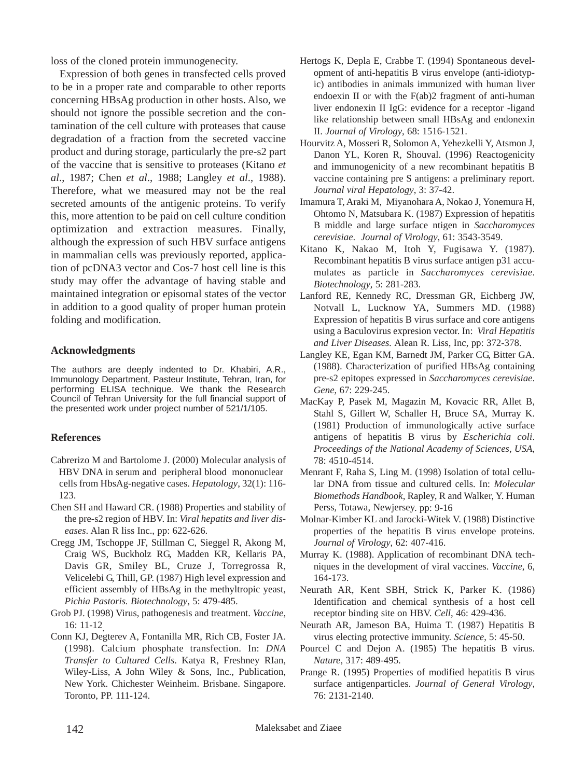loss of the cloned protein immunogenecity.

Expression of both genes in transfected cells proved to be in a proper rate and comparable to other reports concerning HBsAg production in other hosts. Also, we should not ignore the possible secretion and the contamination of the cell culture with proteases that cause degradation of a fraction from the secreted vaccine product and during storage, particularly the pre-s2 part of the vaccine that is sensitive to proteases (Kitano *et al*., 1987; Chen *et al*., 1988; Langley *et al*., 1988). Therefore, what we measured may not be the real secreted amounts of the antigenic proteins. To verify this, more attention to be paid on cell culture condition optimization and extraction measures. Finally, although the expression of such HBV surface antigens in mammalian cells was previously reported, application of pcDNA3 vector and Cos-7 host cell line is this study may offer the advantage of having stable and maintained integration or episomal states of the vector in addition to a good quality of proper human protein folding and modification.

#### **Acknowledgments**

The authors are deeply indented to Dr. Khabiri, A.R., Immunology Department, Pasteur Institute, Tehran, Iran, for performing ELISA technique. We thank the Research Council of Tehran University for the full financial support of the presented work under project number of 521/1/105.

### **References**

- Cabrerizo M and Bartolome J. (2000) Molecular analysis of HBV DNA in serum and peripheral blood mononuclear cells from HbsAg-negative cases. *Hepatology*, 32(1): 116- 123.
- Chen SH and Haward CR. (1988) Properties and stability of the pre-s2 region of HBV. In: *Viral hepatits and liver diseases*. Alan R liss Inc., pp: 622-626.
- Cregg JM, Tschoppe JF, Stillman C, Sieggel R, Akong M, Craig WS, Buckholz RG, Madden KR, Kellaris PA, Davis GR, Smiley BL, Cruze J, Torregrossa R, Velicelebi G, Thill, GP. (1987) High level expression and efficient assembly of HBsAg in the methyltropic yeast, *Pichia Pastoris. Biotechnology*, 5: 479-485.
- Grob PJ. (1998) Virus, pathogenesis and treatment. *Vaccine*,
- 16: 11-12. Conn KJ, Degterev A, Fontanilla MR, Rich CB, Foster JA. (1998). Calcium phosphate transfection. In: *DNA Transfer to Cultured Cells*. Katya R, Freshney RIan, Wiley-Liss, A John Wiley & Sons, Inc., Publication, New York. Chichester Weinheim. Brisbane. Singapore. Toronto, PP. 111-124.
- Hertogs K, Depla E, Crabbe T. (1994) Spontaneous development of anti-hepatitis B virus envelope (anti-idiotypic) antibodies in animals immunized with human liver endoexin II or with the F(ab)2 fragment of anti-human liver endonexin II IgG: evidence for a receptor -ligand like relationship between small HBsAg and endonexin II. *Journal of Virology*, 68: 1516-1521.
- Hourvitz A, Mosseri R, Solomon A, Yehezkelli Y, Atsmon J, Danon YL, Koren R, Shouval. (1996) Reactogenicity and immunogenicity of a new recombinant hepatitis B vaccine containing pre S antigens: a preliminary report. *Journal viral Hepatology*, 3: 37-42.
- Imamura T, Araki M, Miyanohara A, Nokao J, Yonemura H, Ohtomo N, Matsubara K. (1987) Expression of hepatitis B middle and large surface ntigen in *Saccharomyces cerevisiae*. *Journal of Virology*, 61: 3543-3549.
- Kitano K, Nakao M, Itoh Y, Fugisawa Y. (1987). Recombinant hepatitis B virus surface antigen p31 accumulates as particle in *Saccharomyces cerevisiae*. *Biotechnology*, 5: 281-283.
- Lanford RE, Kennedy RC, Dressman GR, Eichberg JW, Notvall L, Lucknow YA, Summers MD. (1988) Expression of hepatitis B virus surface and core antigens using a Baculovirus expresion vector. In: *Viral Hepatitis and Liver Diseases.* Alean R. Liss, Inc, pp: 372-378.
- Langley KE, Egan KM, Barnedt JM, Parker CG, Bitter GA. (1988). Characterization of purified HBsAg containing pre-s2 epitopes expressed in *Saccharomyces cerevisiae*. *Gene*, 67: 229-245.
- MacKay P, Pasek M, Magazin M, Kovacic RR, Allet B, Stahl S, Gillert W, Schaller H, Bruce SA, Murray K. (1981) Production of immunologically active surface antigens of hepatitis B virus by *Escherichia coli*. *Proceedings of the National Academy of Sciences, USA*, 78: 4510-4514.
- Menrant F, Raha S, Ling M. (1998) Isolation of total cellular DNA from tissue and cultured cells. In: *Molecular Biomethods Handbook*, Rapley, R and Walker, Y. Human Perss, Totawa, Newjersey. pp: 9-16
- Molnar-Kimber KL and Jarocki-Witek V. (1988) Distinctive properties of the hepatitis B virus envelope proteins. *Journal of Virology*, 62: 407-416.
- Murray K. (1988). Application of recombinant DNA techniques in the development of viral vaccines. *Vaccine*, 6, 164-173.
- Neurath AR, Kent SBH, Strick K, Parker K. (1986) Identification and chemical synthesis of a host cell receptor binding site on HBV. *Cell*, 46: 429-436.
- Neurath AR, Jameson BA, Huima T. (1987) Hepatitis B virus electing protective immunity. *Science*, 5: 45-50.
- Pourcel C and Dejon A. (1985) The hepatitis B virus. *Nature*, 317: 489-495.
- Prange R. (1995) Properties of modified hepatitis B virus surface antigenparticles. *Journal of General Virology*, 76: 2131-2140.